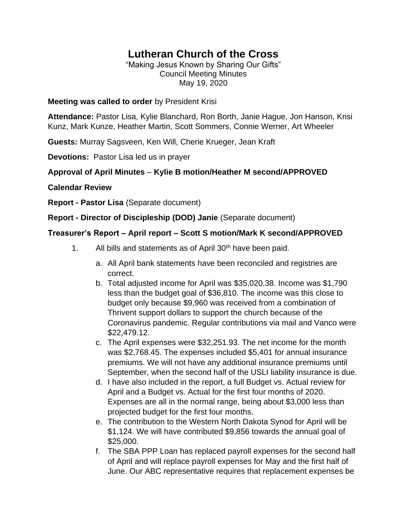# **Lutheran Church of the Cross**

"Making Jesus Known by Sharing Our Gifts" Council Meeting Minutes May 19, 2020

#### **Meeting was called to order** by President Krisi

**Attendance:** Pastor Lisa, Kylie Blanchard, Ron Borth, Janie Hague, Jon Hanson, Krisi Kunz, Mark Kunze, Heather Martin, Scott Sommers, Connie Werner, Art Wheeler

**Guests:** Murray Sagsveen, Ken Will, Cherie Krueger, Jean Kraft

**Devotions:** Pastor Lisa led us in prayer

# **Approval of April Minutes** – **Kylie B motion/Heather M second/APPROVED**

#### **Calendar Review**

**Report - Pastor Lisa** (Separate document)

**Report - Director of Discipleship (DOD) Janie** (Separate document)

#### **Treasurer's Report – April report – Scott S motion/Mark K second/APPROVED**

- 1. All bills and statements as of April 30<sup>th</sup> have been paid.
	- a. All April bank statements have been reconciled and registries are correct.
	- b. Total adjusted income for April was \$35,020.38. Income was \$1,790 less than the budget goal of \$36,810. The income was this close to budget only because \$9,960 was received from a combination of Thrivent support dollars to support the church because of the Coronavirus pandemic. Regular contributions via mail and Vanco were \$22,479.12.
	- c. The April expenses were \$32,251.93. The net income for the month was \$2,768.45. The expenses included \$5,401 for annual insurance premiums. We will not have any additional insurance premiums until September, when the second half of the USLI liability insurance is due.
	- d. I have also included in the report, a full Budget vs. Actual review for April and a Budget vs. Actual for the first four months of 2020. Expenses are all in the normal range, being about \$3,000 less than projected budget for the first four months.
	- e. The contribution to the Western North Dakota Synod for April will be \$1,124. We will have contributed \$9,856 towards the annual goal of \$25,000.
	- f. The SBA PPP Loan has replaced payroll expenses for the second half of April and will replace payroll expenses for May and the first half of June. Our ABC representative requires that replacement expenses be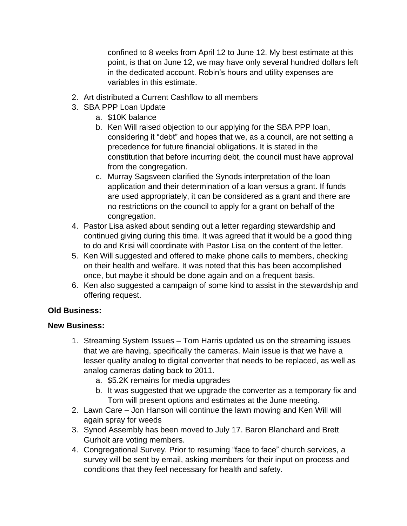confined to 8 weeks from April 12 to June 12. My best estimate at this point, is that on June 12, we may have only several hundred dollars left in the dedicated account. Robin's hours and utility expenses are variables in this estimate.

- 2. Art distributed a Current Cashflow to all members
- 3. SBA PPP Loan Update
	- a. \$10K balance
		- b. Ken Will raised objection to our applying for the SBA PPP loan, considering it "debt" and hopes that we, as a council, are not setting a precedence for future financial obligations. It is stated in the constitution that before incurring debt, the council must have approval from the congregation.
		- c. Murray Sagsveen clarified the Synods interpretation of the loan application and their determination of a loan versus a grant. If funds are used appropriately, it can be considered as a grant and there are no restrictions on the council to apply for a grant on behalf of the congregation.
- 4. Pastor Lisa asked about sending out a letter regarding stewardship and continued giving during this time. It was agreed that it would be a good thing to do and Krisi will coordinate with Pastor Lisa on the content of the letter.
- 5. Ken Will suggested and offered to make phone calls to members, checking on their health and welfare. It was noted that this has been accomplished once, but maybe it should be done again and on a frequent basis.
- 6. Ken also suggested a campaign of some kind to assist in the stewardship and offering request.

## **Old Business:**

## **New Business:**

- 1. Streaming System Issues Tom Harris updated us on the streaming issues that we are having, specifically the cameras. Main issue is that we have a lesser quality analog to digital converter that needs to be replaced, as well as analog cameras dating back to 2011.
	- a. \$5.2K remains for media upgrades
	- b. It was suggested that we upgrade the converter as a temporary fix and Tom will present options and estimates at the June meeting.
- 2. Lawn Care Jon Hanson will continue the lawn mowing and Ken Will will again spray for weeds
- 3. Synod Assembly has been moved to July 17. Baron Blanchard and Brett Gurholt are voting members.
- 4. Congregational Survey. Prior to resuming "face to face" church services, a survey will be sent by email, asking members for their input on process and conditions that they feel necessary for health and safety.